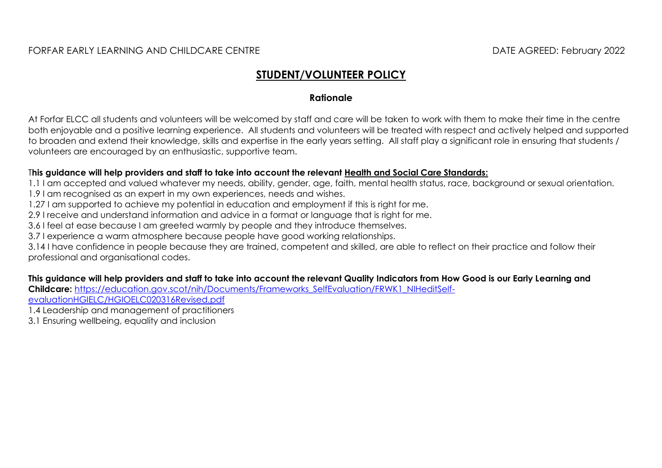# **STUDENT/VOLUNTEER POLICY**

#### **Rationale**

At Forfar ELCC all students and volunteers will be welcomed by staff and care will be taken to work with them to make their time in the centre both enjoyable and a positive learning experience. All students and volunteers will be treated with respect and actively helped and supported to broaden and extend their knowledge, skills and expertise in the early years setting. All staff play a significant role in ensuring that students / volunteers are encouraged by an enthusiastic, supportive team.

#### T**his guidance will help providers and staff to take into account the relevant [Health and Social Care Standards:](https://www.gov.scot/binaries/content/documents/govscot/publications/advice-and-guidance/2017/06/health-social-care-standards-support-life/documents/00520693-pdf/00520693-pdf/govscot%3Adocument/00520693.pdf)**

1.1 I am accepted and valued whatever my needs, ability, gender, age, faith, mental health status, race, background or sexual orientation.

1.9 I am recognised as an expert in my own experiences, needs and wishes.

1.27 I am supported to achieve my potential in education and employment if this is right for me.

2.9 I receive and understand information and advice in a format or language that is right for me.

3.6 I feel at ease because I am greeted warmly by people and they introduce themselves.

3.7 I experience a warm atmosphere because people have good working relationships.

3.14 I have confidence in people because they are trained, competent and skilled, are able to reflect on their practice and follow their professional and organisational codes.

**This guidance will help providers and staff to take into account the relevant Quality Indicators from How Good is our Early Learning and Childcare:** [https://education.gov.scot/nih/Documents/Frameworks\\_SelfEvaluation/FRWK1\\_NIHeditSelf-](https://education.gov.scot/nih/Documents/Frameworks_SelfEvaluation/FRWK1_NIHeditSelf-evaluationHGIELC/HGIOELC020316Revised.pdf)

[evaluationHGIELC/HGIOELC020316Revised.pdf](https://education.gov.scot/nih/Documents/Frameworks_SelfEvaluation/FRWK1_NIHeditSelf-evaluationHGIELC/HGIOELC020316Revised.pdf)

1.4 Leadership and management of practitioners

3.1 Ensuring wellbeing, equality and inclusion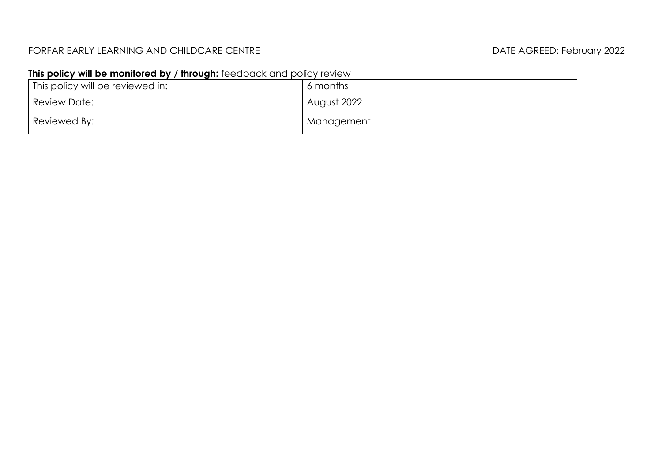### FORFAR EARLY LEARNING AND CHILDCARE CENTRE **External and the set of the CENTRE** DATE AGREED: February 2022

## **This policy will be monitored by / through:** feedback and policy review

| This policy will be reviewed in: | 6 months    |
|----------------------------------|-------------|
| Review Date:                     | August 2022 |
| Reviewed By:                     | Management  |